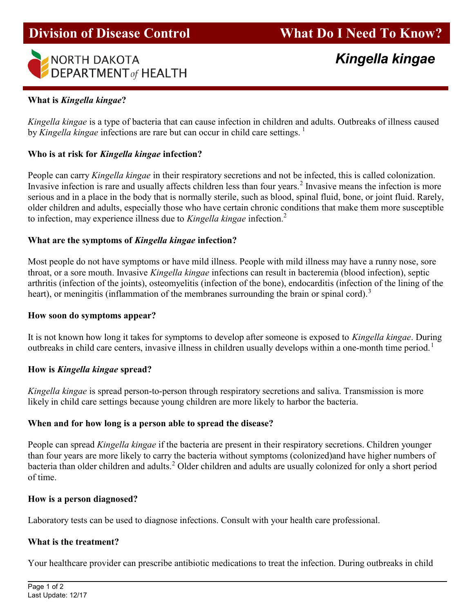

## What is Kingella kingae?

i.

Kingella kingae is a type of bacteria that can cause infection in children and adults. Outbreaks of illness caused by Kingella kingae infections are rare but can occur in child care settings.<sup>1</sup>

## Who is at risk for Kingella kingae infection?

People can carry Kingella kingae in their respiratory secretions and not be infected, this is called colonization. Invasive infection is rare and usually affects children less than four years.<sup>2</sup> Invasive means the infection is more serious and in a place in the body that is normally sterile, such as blood, spinal fluid, bone, or joint fluid. Rarely, older children and adults, especially those who have certain chronic conditions that make them more susceptible to infection, may experience illness due to Kingella kingae infection.<sup>2</sup>

## What are the symptoms of Kingella kingae infection?

Most people do not have symptoms or have mild illness. People with mild illness may have a runny nose, sore throat, or a sore mouth. Invasive Kingella kingae infections can result in bacteremia (blood infection), septic arthritis (infection of the joints), osteomyelitis (infection of the bone), endocarditis (infection of the lining of the heart), or meningitis (inflammation of the membranes surrounding the brain or spinal cord).<sup>3</sup>

### How soon do symptoms appear?

It is not known how long it takes for symptoms to develop after someone is exposed to Kingella kingae. During outbreaks in child care centers, invasive illness in children usually develops within a one-month time period.<sup>1</sup>

### How is Kingella kingae spread?

Kingella kingae is spread person-to-person through respiratory secretions and saliva. Transmission is more likely in child care settings because young children are more likely to harbor the bacteria.

### When and for how long is a person able to spread the disease?

People can spread Kingella kingae if the bacteria are present in their respiratory secretions. Children younger than four years are more likely to carry the bacteria without symptoms (colonized)and have higher numbers of bacteria than older children and adults.<sup>2</sup> Older children and adults are usually colonized for only a short period of time.

### How is a person diagnosed?

Laboratory tests can be used to diagnose infections. Consult with your health care professional.

### What is the treatment?

Your healthcare provider can prescribe antibiotic medications to treat the infection. During outbreaks in child